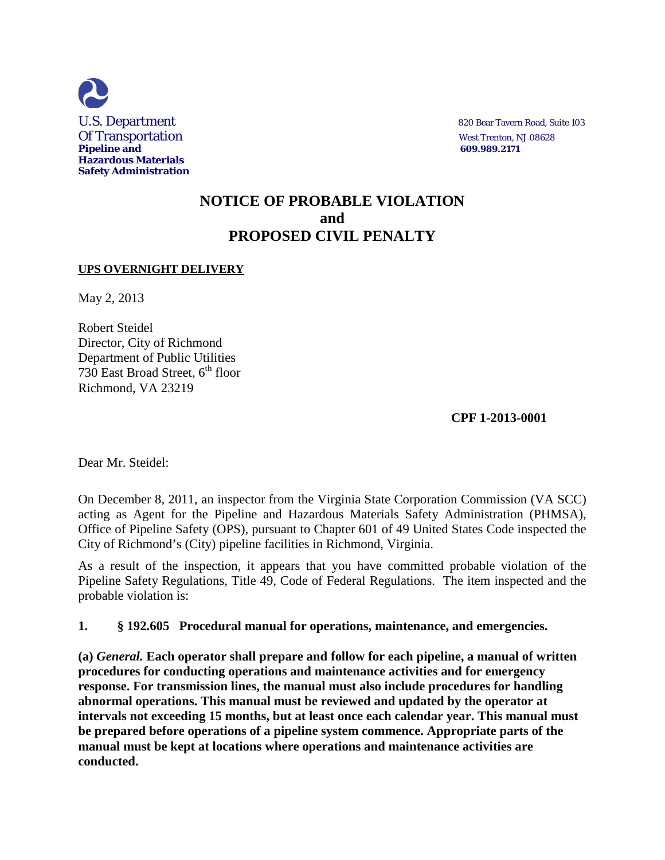

## **NOTICE OF PROBABLE VIOLATION and PROPOSED CIVIL PENALTY**

## **UPS OVERNIGHT DELIVERY**

May 2, 2013

Robert Steidel Director, City of Richmond Department of Public Utilities 730 East Broad Street,  $6<sup>th</sup>$  floor Richmond, VA 23219

 **CPF 1-2013-0001** 

Dear Mr. Steidel:

On December 8, 2011, an inspector from the Virginia State Corporation Commission (VA SCC) acting as Agent for the Pipeline and Hazardous Materials Safety Administration (PHMSA), Office of Pipeline Safety (OPS), pursuant to Chapter 601 of 49 United States Code inspected the City of Richmond's (City) pipeline facilities in Richmond, Virginia.

As a result of the inspection, it appears that you have committed probable violation of the Pipeline Safety Regulations, Title 49, Code of Federal Regulations. The item inspected and the probable violation is:

**1. § 192.605 Procedural manual for operations, maintenance, and emergencies.**

**(a)** *General.* **Each operator shall prepare and follow for each pipeline, a manual of written procedures for conducting operations and maintenance activities and for emergency response. For transmission lines, the manual must also include procedures for handling abnormal operations. This manual must be reviewed and updated by the operator at intervals not exceeding 15 months, but at least once each calendar year. This manual must be prepared before operations of a pipeline system commence. Appropriate parts of the manual must be kept at locations where operations and maintenance activities are conducted.**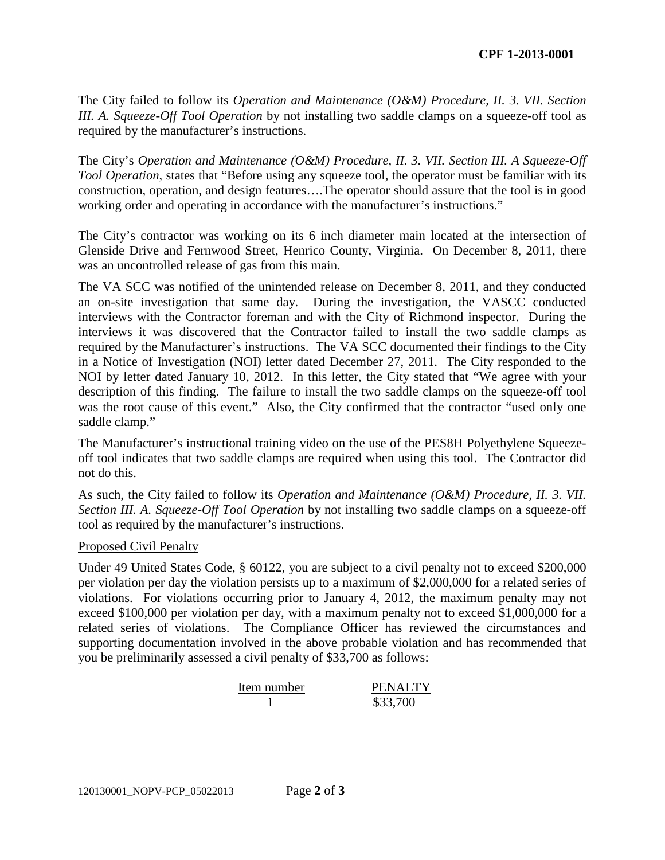The City failed to follow its *Operation and Maintenance (O&M) Procedure, II. 3. VII. Section III. A. Squeeze-Off Tool Operation* by not installing two saddle clamps on a squeeze-off tool as required by the manufacturer's instructions.

The City's *Operation and Maintenance (O&M) Procedure, II. 3. VII. Section III. A Squeeze-Off Tool Operation*, states that "Before using any squeeze tool, the operator must be familiar with its construction, operation, and design features….The operator should assure that the tool is in good working order and operating in accordance with the manufacturer's instructions."

The City's contractor was working on its 6 inch diameter main located at the intersection of Glenside Drive and Fernwood Street, Henrico County, Virginia. On December 8, 2011, there was an uncontrolled release of gas from this main.

The VA SCC was notified of the unintended release on December 8, 2011, and they conducted an on-site investigation that same day. During the investigation, the VASCC conducted interviews with the Contractor foreman and with the City of Richmond inspector. During the interviews it was discovered that the Contractor failed to install the two saddle clamps as required by the Manufacturer's instructions. The VA SCC documented their findings to the City in a Notice of Investigation (NOI) letter dated December 27, 2011. The City responded to the NOI by letter dated January 10, 2012. In this letter, the City stated that "We agree with your description of this finding. The failure to install the two saddle clamps on the squeeze-off tool was the root cause of this event." Also, the City confirmed that the contractor "used only one saddle clamp."

The Manufacturer's instructional training video on the use of the PES8H Polyethylene Squeezeoff tool indicates that two saddle clamps are required when using this tool. The Contractor did not do this.

As such, the City failed to follow its *Operation and Maintenance (O&M) Procedure, II. 3. VII. Section III. A. Squeeze-Off Tool Operation* by not installing two saddle clamps on a squeeze-off tool as required by the manufacturer's instructions.

## Proposed Civil Penalty

Under 49 United States Code, § 60122, you are subject to a civil penalty not to exceed \$200,000 per violation per day the violation persists up to a maximum of \$2,000,000 for a related series of violations. For violations occurring prior to January 4, 2012, the maximum penalty may not exceed \$100,000 per violation per day, with a maximum penalty not to exceed \$1,000,000 for a related series of violations. The Compliance Officer has reviewed the circumstances and supporting documentation involved in the above probable violation and has recommended that you be preliminarily assessed a civil penalty of \$33,700 as follows:

| Item number | <b>PENALTY</b> |
|-------------|----------------|
|             | \$33,700       |